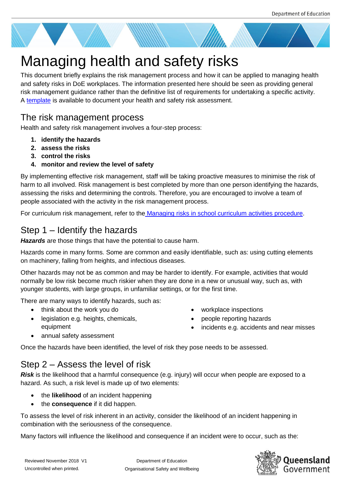

# Managing health and safety risks

This document briefly explains the risk management process and how it can be applied to managing health and safety risks in DoE workplaces. The information presented here should be seen as providing general risk management guidance rather than the definitive list of requirements for undertaking a specific activity. A [template](https://education.qld.gov.au/initiativesstrategies/Documents/health-safety-risk-assessment-template.DOCX) is available to document your health and safety risk assessment.

## The risk management process

Health and safety risk management involves a four-step process:

- **1. identify the hazards**
- **2. assess the risks**
- **3. control the risks**
- **4. monitor and review the level of safety**

By implementing effective risk management, staff will be taking proactive measures to minimise the risk of harm to all involved. Risk management is best completed by more than one person identifying the hazards, assessing the risks and determining the controls. Therefore, you are encouraged to involve a team of people associated with the activity in the risk management process.

For curriculum risk management, refer to the [Managing risks in school curriculum activities procedure.](http://ppr.det.qld.gov.au/education/management/Pages/Managing-Risks-in-School-Curriculum-Activities.aspx)

# Step 1 – Identify the hazards

*Hazards* are those things that have the potential to cause harm.

Hazards come in many forms. Some are common and easily identifiable, such as: using cutting elements on machinery, falling from heights, and infectious diseases.

Other hazards may not be as common and may be harder to identify. For example, activities that would normally be low risk become much riskier when they are done in a new or unusual way, such as, with younger students, with large groups, in unfamiliar settings, or for the first time.

There are many ways to identify hazards, such as:

- think about the work you do
- legislation e.g. heights, chemicals, equipment
- workplace inspections
- people reporting hazards
- incidents e.g. accidents and near misses

• annual safety assessment

Once the hazards have been identified, the level of risk they pose needs to be assessed.

## Step 2 – Assess the level of risk

*Risk* is the likelihood that a harmful consequence (e.g. injury) will occur when people are exposed to a hazard. As such, a risk level is made up of two elements:

- the **likelihood** of an incident happening
- the **consequence** if it did happen.

To assess the level of risk inherent in an activity, consider the likelihood of an incident happening in combination with the seriousness of the consequence.

Many factors will influence the likelihood and consequence if an incident were to occur, such as the:

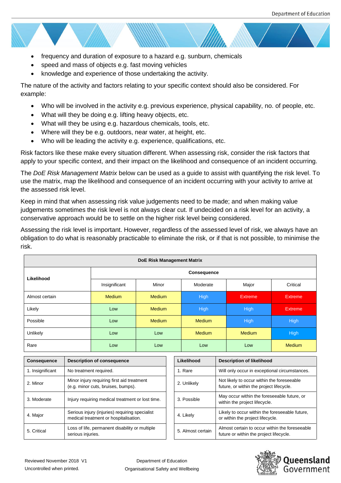- frequency and duration of exposure to a hazard e.g. sunburn, chemicals
- speed and mass of objects e.g. fast moving vehicles
- knowledge and experience of those undertaking the activity.

The nature of the activity and factors relating to your specific context should also be considered. For example:

- Who will be involved in the activity e.g. previous experience, physical capability, no. of people, etc.
- What will they be doing e.g. lifting heavy objects, etc.
- What will they be using e.g. hazardous chemicals, tools, etc.
- Where will they be e.g. outdoors, near water, at height, etc.
- Who will be leading the activity e.g. experience, qualifications, etc.

Risk factors like these make every situation different. When assessing risk, consider the risk factors that apply to your specific context, and their impact on the likelihood and consequence of an incident occurring.

The *DoE Risk Management Matrix* below can be used as a guide to assist with quantifying the risk level. To use the matrix, map the likelihood and consequence of an incident occurring with your activity to arrive at the assessed risk level.

Keep in mind that when assessing risk value judgements need to be made; and when making value judgements sometimes the risk level is not always clear cut. If undecided on a risk level for an activity, a conservative approach would be to settle on the higher risk level being considered.

Assessing the risk level is important. However, regardless of the assessed level of risk, we always have an obligation to do what is reasonably practicable to eliminate the risk, or if that is not possible, to minimise the risk.

| <b>DoE Risk Management Matrix</b> |                    |               |               |               |               |  |  |
|-----------------------------------|--------------------|---------------|---------------|---------------|---------------|--|--|
| Likelihood                        | <b>Consequence</b> |               |               |               |               |  |  |
|                                   | Insignificant      | Minor         | Moderate      | Major         | Critical      |  |  |
| Almost certain                    | <b>Medium</b>      | <b>Medium</b> | High          | Extreme,      | Extreme       |  |  |
| Likely                            | Low                | <b>Medium</b> | High          | High          | Extreme       |  |  |
| Possible                          | Low                | <b>Medium</b> | <b>Medium</b> | <b>High</b>   | <b>High</b>   |  |  |
| Unlikely                          | Low                | Low           | <b>Medium</b> | <b>Medium</b> | <b>High</b>   |  |  |
| Rare                              | Low                | Low           | Low           | Low           | <b>Medium</b> |  |  |

| <b>Consequence</b> | <b>Description of consequence</b>                                                       |  | Likelihood        | <b>Description of likelihood</b>                                                          |
|--------------------|-----------------------------------------------------------------------------------------|--|-------------------|-------------------------------------------------------------------------------------------|
| 1. Insignificant   | No treatment required.                                                                  |  | 1. Rare           | Will only occur in exceptional circumstances.                                             |
| 2. Minor           | Minor injury requiring first aid treatment<br>(e.g. minor cuts, bruises, bumps).        |  | 2. Unlikely       | Not likely to occur within the foreseeable<br>future, or within the project lifecycle.    |
| 3. Moderate        | Injury requiring medical treatment or lost time.                                        |  | 3. Possible       | May occur within the foreseeable future, or<br>within the project lifecycle.              |
| 4. Major           | Serious injury (injuries) requiring specialist<br>medical treatment or hospitalisation. |  | 4. Likely         | Likely to occur within the foreseeable future,<br>or within the project lifecycle.        |
| 5. Critical        | Loss of life, permanent disability or multiple<br>serious injuries.                     |  | 5. Almost certain | Almost certain to occur within the foreseeable<br>future or within the project lifecycle. |

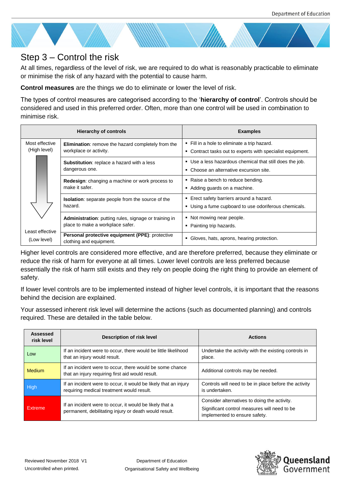

## Step 3 – Control the risk

At all times, regardless of the level of risk, we are required to do what is reasonably practicable to eliminate or minimise the risk of any hazard with the potential to cause harm.

**Control measures** are the things we do to eliminate or lower the level of risk.

The types of control measures are categorised according to the '**hierarchy of control**'. Controls should be considered and used in this preferred order. Often, more than one control will be used in combination to minimise risk.

| <b>Hierarchy of controls</b>                                     |                                                                                                  | <b>Examples</b>                                                                                            |  |
|------------------------------------------------------------------|--------------------------------------------------------------------------------------------------|------------------------------------------------------------------------------------------------------------|--|
| Most effective<br>(High level)<br>Least effective<br>(Low level) | <b>Elimination:</b> remove the hazard completely from the<br>workplace or activity.              | • Fill in a hole to eliminate a trip hazard.<br>• Contract tasks out to experts with specialist equipment. |  |
|                                                                  | <b>Substitution:</b> replace a hazard with a less<br>dangerous one.                              | • Use a less hazardous chemical that still does the job.<br>• Choose an alternative excursion site.        |  |
|                                                                  | <b>Redesign:</b> changing a machine or work process to<br>make it safer.                         | • Raise a bench to reduce bending.<br>Adding guards on a machine.                                          |  |
|                                                                  | <b>Isolation:</b> separate people from the source of the<br>hazard.                              | • Erect safety barriers around a hazard.<br>• Using a fume cupboard to use odoriferous chemicals.          |  |
|                                                                  | <b>Administration:</b> putting rules, signage or training in<br>place to make a workplace safer. | • Not mowing near people.<br>• Painting trip hazards.                                                      |  |
|                                                                  | Personal protective equipment (PPE): protective<br>clothing and equipment.                       | • Gloves, hats, aprons, hearing protection.                                                                |  |

Higher level controls are considered more effective, and are therefore preferred, because they eliminate or reduce the risk of harm for everyone at all times. Lower level controls are less preferred because essentially the risk of harm still exists and they rely on people doing the right thing to provide an element of safety.

If lower level controls are to be implemented instead of higher level controls, it is important that the reasons behind the decision are explained.

Your assessed inherent risk level will determine the actions (such as documented planning) and controls required. These are detailed in the table below.

| Assessed<br>risk level | Description of risk level                                                                                        | <b>Actions</b>                                                                                                                |  |  |
|------------------------|------------------------------------------------------------------------------------------------------------------|-------------------------------------------------------------------------------------------------------------------------------|--|--|
| Low                    | If an incident were to occur, there would be little likelihood<br>that an injury would result.                   | Undertake the activity with the existing controls in<br>place.                                                                |  |  |
| <b>Medium</b>          | If an incident were to occur, there would be some chance<br>that an injury requiring first aid would result.     | Additional controls may be needed.                                                                                            |  |  |
| High                   | If an incident were to occur, it would be likely that an injury<br>requiring medical treatment would result.     | Controls will need to be in place before the activity<br>is undertaken.                                                       |  |  |
| Extreme                | If an incident were to occur, it would be likely that a<br>permanent, debilitating injury or death would result. | Consider alternatives to doing the activity.<br>Significant control measures will need to be<br>implemented to ensure safety. |  |  |